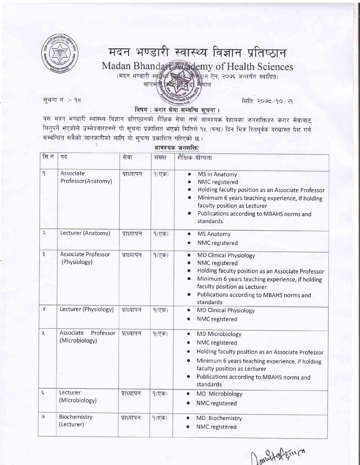

## मदन भण्डारी स्वास्थ्य विज्ञान प्रतिष्ठान Madan Bhandar Mademy of Health Sciences ्मदन भण्डारी स्वास्थ्य स्थिति अपने ऐन, २०७६ अन्तर्गत स्थापित)<br>बागमती क्विस्टाइलेडी, लेपाल

RE-qT c. '- lc fufr: Rotgc/1o/ll

## विषय : करार सेवा सम्बन्धि सूचना।

यस मदन भण्डारी स्वास्थ्य विज्ञान प्रतिष्ठानको शैक्षिक सेवा तर्फ आवश्यक देहायका जनशक्तिहरु करार सेवाबाट लिनुपर्ने भएकोले उम्मेदवारहरुले यो सूचना प्रकाशित भएको मितिले १५ (पन्ध) दिन भित्र रितपूर्वक दरखास्त पेश गर्न सम्बन्धित सबैको जानकारीको लागि यो सूचना प्रकाशित गरिएको छ।

आवश्यक जनशक्ति:

| सि.नं                    | पद                                       | सेवा       | संख्या   | शैक्षिक योग्यता                                                                                                                                                                                                                                                 |
|--------------------------|------------------------------------------|------------|----------|-----------------------------------------------------------------------------------------------------------------------------------------------------------------------------------------------------------------------------------------------------------------|
| 9                        | Associate<br>Professor(Anatomy)          | प्राध्यापन | $9($ एक) | MS in Anatomy<br>$\bullet$<br>NMC registered<br>Holding faculty position as an Associate Professor<br>Minimum 6 years teaching experience, if holding<br>faculty position as Lecturer<br>Publications according to MBAHS norms and<br>standards                 |
| $\overline{\mathcal{R}}$ | Lecturer (Anatomy)                       | प्राध्यापन | $9($ एक) | <b>MS Anatomy</b><br>۰<br>NMC registered                                                                                                                                                                                                                        |
| $\vec{\mathbf{z}}$       | Associate Professor<br>(Physiology)      | प्राध्यापन | $9($ एक) | <b>MD Clinical Physiology</b><br>$\bullet$<br>NMC registered<br>Holding faculty position as an Associate Professor<br>Minimum 6 years teaching experience, if holding<br>faculty position as Lecturer<br>Publications according to MBAHS norms and<br>standards |
| $\propto$                | Lecturer (Physiology)                    | प्राध्यापन | $9($ एक) | <b>MD Clinical Physiology</b><br>$\bullet$<br>NMC registered<br>۰                                                                                                                                                                                               |
| $\chi$                   | Associate<br>Professor<br>(Microbiology) | प्राध्यापन | $9($ एक) | <b>MD Microbiology</b><br>۰<br>NMC registered<br>$\bullet$<br>Holding faculty position as an Associate Professor<br>Minimum 6 years teaching experience, if holding<br>faculty position as Lecturer<br>Publications according to MBAHS norms and<br>standards   |
| $\xi$                    | Lecturer<br>(Microbiology)               | प्राध्यापन | $9($ एक) | MD Microbiology<br>۰<br>NMC registered                                                                                                                                                                                                                          |
| $\mathcal{G}$            | Biochemistry<br>(Lecturer)               | प्राध्यापन | $9($ एक) | MD Biochemistry<br>$\bullet$<br>NMC registered                                                                                                                                                                                                                  |

Doubtefainco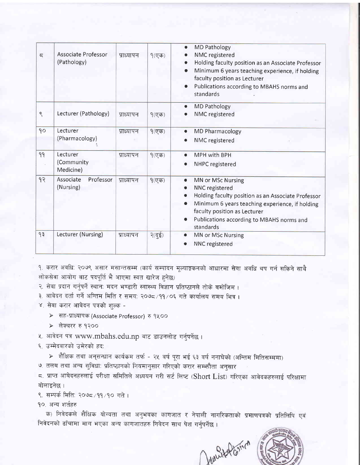| $\overline{a}$ | <b>Associate Professor</b><br>(Pathology) | प्राध्यापन | $9($ एक)              | <b>MD Pathology</b><br>$\bullet$<br>NMC registered<br>Holding faculty position as an Associate Professor<br>Minimum 6 years teaching experience, if holding<br>faculty position as Lecturer<br>Publications according to MBAHS norms and<br>$\bullet$<br>standards |
|----------------|-------------------------------------------|------------|-----------------------|--------------------------------------------------------------------------------------------------------------------------------------------------------------------------------------------------------------------------------------------------------------------|
| $\mathcal{S}$  | Lecturer (Pathology)                      | प्राध्यापन | $9($ एक)              | <b>MD Pathology</b><br>$\bullet$<br>NMC registered                                                                                                                                                                                                                 |
| 90             | Lecturer<br>(Pharmacology)                | प्राध्यापन | $9($ एक)              | MD Pharmacology<br>NMC registered                                                                                                                                                                                                                                  |
| 99             | Lecturer<br>(Community<br>Medicine)       | प्राध्यापन | $9($ एक)              | MPH with BPH<br>NHPC registered                                                                                                                                                                                                                                    |
| १२             | Associate<br>Professor<br>(Nursing)       | प्राध्यापन | $9($ एक)              | MN or MSc Nursing<br>$\bullet$<br>NNC registered<br>Holding faculty position as an Associate Professor<br>Minimum 6 years teaching experience, if holding<br>faculty position as Lecturer<br>Publications according to MBAHS norms and<br>standards                |
| 93             | Lecturer (Nursing)                        | प्राध्यापन | $R(\vec{q}\vec{\xi})$ | MN or MSc Nursing<br>۰<br>NNC registered                                                                                                                                                                                                                           |

१. करार अवधि: २०७९ असार मसान्तसम्म (कार्य सम्पादन मूल्याङ्कनको आधारमा सेवा अवधि थप गर्न सकिने साथै लोकसेवा आयोग बाट पदपूर्ति भै आएमा स्वत खारेज हुनेछ)

R. सेवा प्रदान गर्नुपर्ने स्थान: मदन भण्डारी स्वास्थ्य विज्ञान प्रतिष्ठानले तोके बमोजिम ।

- ३. आवेदन दर्ता गर्ने अन्तिम मिति र समय: २०७८/११/०६ गते कार्यालय समय भित्र ।
- $\times$  सेवा करार आवेदन पत्रको शुल्क -

≻ सह-प्राध्यापक (Associate Professor) रु १५००

≻ लेक्चरर रु १२००

k. आवेदन पत्र www.mbahs.edu.np बाट डाउनलोड गर्नुपर्नेछ ।

६. उम्मेदवारको उमेरको हद:

≻ शैक्षिक तथा अनुसन्धान कार्यक्रम तर्फ - २५ वर्ष पूरा भई ६३ वर्ष ननाघेको (अन्तिम मितिसम्ममा) ७. तलब तथा अन्य सुविधा: प्रतिष्ठानको नियमानुसार गरिएको करार सम्भनौता अनुसार

 $\epsilon$ . प्राप्त आबेदनहरुलाई परीक्षा समितिले अध्ययन गरी सर्ट लिष्ट (Short List) गरिएका आवेदकहरुलाई परिक्षामा बोलाइनेछ ।

९. सम्पर्क मिति: २०७८/११/१० गते ।

१०. अन्य शर्तहरु

क) निवेदकले शैक्षिक योग्यता तथा अनुभवका कागजात र नेपाली नागरिकताको प्रमाणपत्रको प्रतिलिपि एवं ftaदनको ढाँचामा माग भएका अन्य कागजातहरु निवेदन साथ पेश गर्नुपर्नेछ ।

Junited Comen